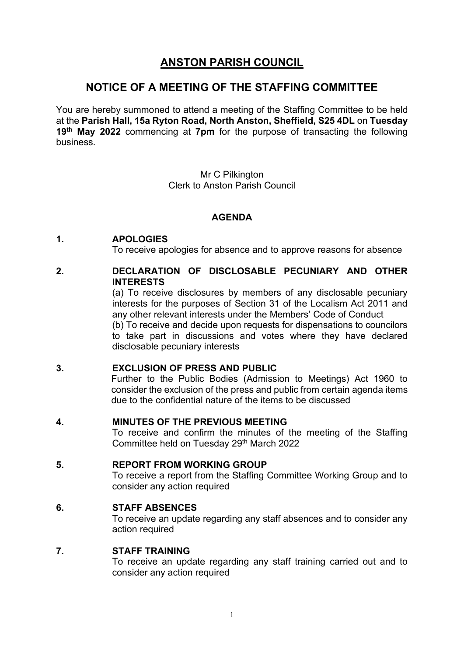# **ANSTON PARISH COUNCIL**

# **NOTICE OF A MEETING OF THE STAFFING COMMITTEE**

You are hereby summoned to attend a meeting of the Staffing Committee to be held at the **Parish Hall, 15a Ryton Road, North Anston, Sheffield, S25 4DL** on **Tuesday 19th May 2022** commencing at **7pm** for the purpose of transacting the following business.

> Mr C Pilkington Clerk to Anston Parish Council

# **AGENDA**

# **1. APOLOGIES**

To receive apologies for absence and to approve reasons for absence

# **2. DECLARATION OF DISCLOSABLE PECUNIARY AND OTHER INTERESTS**

(a) To receive disclosures by members of any disclosable pecuniary interests for the purposes of Section 31 of the Localism Act 2011 and any other relevant interests under the Members' Code of Conduct

(b) To receive and decide upon requests for dispensations to councilors to take part in discussions and votes where they have declared disclosable pecuniary interests

# **3. EXCLUSION OF PRESS AND PUBLIC**

Further to the Public Bodies (Admission to Meetings) Act 1960 to consider the exclusion of the press and public from certain agenda items due to the confidential nature of the items to be discussed

# **4. MINUTES OF THE PREVIOUS MEETING**

To receive and confirm the minutes of the meeting of the Staffing Committee held on Tuesday 29<sup>th</sup> March 2022

# **5. REPORT FROM WORKING GROUP**

To receive a report from the Staffing Committee Working Group and to consider any action required

# **6. STAFF ABSENCES**

To receive an update regarding any staff absences and to consider any action required

## **7. STAFF TRAINING**

To receive an update regarding any staff training carried out and to consider any action required